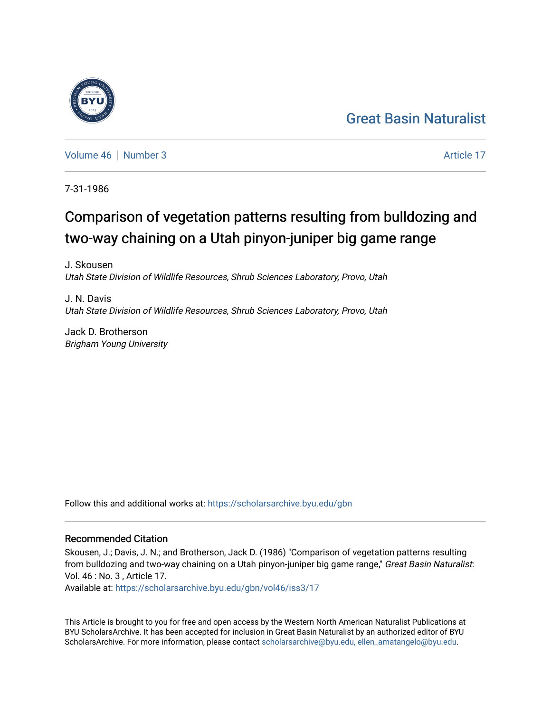## [Great Basin Naturalist](https://scholarsarchive.byu.edu/gbn)

[Volume 46](https://scholarsarchive.byu.edu/gbn/vol46) [Number 3](https://scholarsarchive.byu.edu/gbn/vol46/iss3) Article 17

7-31-1986

# Comparison of vegetation patterns resulting from bulldozing and two-way chaining on a Utah pinyon-juniper big game range

J. Skousen Utah State Division of Wildlife Resources, Shrub Sciences Laboratory, Provo, Utah

J. N. Davis Utah State Division of Wildlife Resources, Shrub Sciences Laboratory, Provo, Utah

Jack D. Brotherson Brigham Young University

Follow this and additional works at: [https://scholarsarchive.byu.edu/gbn](https://scholarsarchive.byu.edu/gbn?utm_source=scholarsarchive.byu.edu%2Fgbn%2Fvol46%2Fiss3%2F17&utm_medium=PDF&utm_campaign=PDFCoverPages) 

### Recommended Citation

Skousen, J.; Davis, J. N.; and Brotherson, Jack D. (1986) "Comparison of vegetation patterns resulting from bulldozing and two-way chaining on a Utah pinyon-juniper big game range," Great Basin Naturalist: Vol. 46 : No. 3 , Article 17.

Available at: [https://scholarsarchive.byu.edu/gbn/vol46/iss3/17](https://scholarsarchive.byu.edu/gbn/vol46/iss3/17?utm_source=scholarsarchive.byu.edu%2Fgbn%2Fvol46%2Fiss3%2F17&utm_medium=PDF&utm_campaign=PDFCoverPages) 

This Article is brought to you for free and open access by the Western North American Naturalist Publications at BYU ScholarsArchive. It has been accepted for inclusion in Great Basin Naturalist by an authorized editor of BYU ScholarsArchive. For more information, please contact [scholarsarchive@byu.edu, ellen\\_amatangelo@byu.edu.](mailto:scholarsarchive@byu.edu,%20ellen_amatangelo@byu.edu)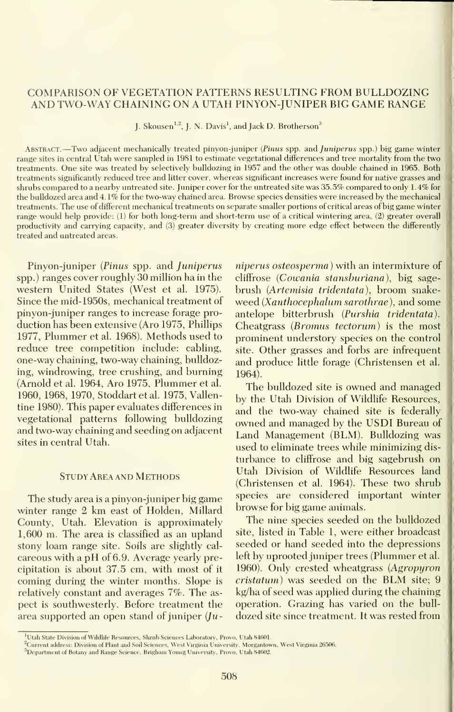#### COMPARISON OF VEGETATION PATTERNS RESULTING FROM BULLDOZING AND TWO-WAY CHAINING ON A UTAH PINYON-JUNIPER BIG GAME RANGE

J. Skousen<sup>1,2</sup>, J. N. Davis<sup>1</sup>, and Jack D. Brotherson<sup>3</sup>

Abstract. —Two adjacent mechanically treated pinyon-juniper (Pinus spp. and <sup>J</sup>uniperus spp.) big game winter range sites in central Utah were sampled in 1981 to estimate vegetational differences and tree mortality from the two treatments. One site was treated by selectively bulldozing in 1957 and the other was double chained in 1965. Both treatments significantly reduced tree and litter cover, whereas significant increases were found for native grasses and shrubs compared to a nearby untreated site. Juniper cover for the untreated site was 35.5% compared to only 1.4% for the bulldozed area and 4. 1% for the two-way chained area. Browse species densities were increased by the mechanical treatments. The use of different mechanical treatments on separate smaller portions of critical areas of big game winter range would help provide: (1) for both long-term and short-term use of a critical wintering area, (2) greater overall productivity and carrying capacity, and (3) greater diversity by creating more edge effect between the differently treated and untreated areas.

Pinyon-juniper (Pinus spp. and Juniperus spp.) ranges cover roughly 30 million ha in the western United States (West et al. 1975). Since the mid-1950s, mechanical treatment of pinyon-juniper ranges to increase forage pro duction has been extensive (Aro 1975, Phillips 1977, Plummer etal. 1968). Methods used to reduce tree competition include: cabling, one-way chaining, two-way chaining, bulldozing, windrowing, tree crushing, and burning (Arnold et al. 1964, Aro 1975, Plummer etal. 1960, 1968, 1970, Stoddart et al. 1975, Vallentine 1980). This paper evaluates differences in vegetational patterns following bulldozing and two-way chaining and seeding on adjacent sites in central Utah.

#### Study Area and Methods

The study area is a pinyon-juniper big game winter range 2 km east of Holden, Millard County, Utah. Elevation is approximately 1,600 m. The area is classified as an upland stony loam range site. Soils are slightly cal careous with <sup>a</sup> pH of 6.9. Average yearly precipitation is about 37.5 cm, with most of itcoming during the winter months. Slope isrelatively constant and averages 7%. The as pect is southwesterly. Before treatment the area supported an open stand of juniper  $(lu-$ 

niperus osteosperma) with an intermixture of cliflfrose (Cowania stansburiana), big sage brush (Artemisia tridentata), broom snake weed (Xanthocephalumsarothrae), and some antelope bitterbrush (Purshia tridentata). Cheatgrass (Bromus tectorum) is the most prominent understory species on the control site. Other grasses and forbs are infrequent and produce little forage (Christensen et al. 1964).

The bulldozed site is owned and managed by the Utah Division of Wildlife Resources, and the two-way chained site is federally owned and managed by the USDI Bureau of Land Management (BLM). Bulldozing was used to eliminate trees while minimizing dis turbance to cliflfrose and big sagebrush on Utah Division of Wildlife Resources land (Christensen et al. 1964). These two shrub species are considered important winter browse for big game animals.

The nine species seeded on the bulldozed site, listed in Table 1, were either broadcast seeded or hand seeded into the depressions left by uprooted juniper trees (Plummer et al. 1960). Only crested wheatgrass (Agropyron cristatum) was seeded on the BLM site; 9 kg/ha of seed was applied during the chaining operation. Grazing has varied on the bull dozed site since treatment. It was rested from

<sup>&</sup>lt;sup>1</sup>Utah State Division of Wildlife Resources, Shrub Sciences Laboratory, Provo, Utah 84601.

<sup>&</sup>lt;sup>2</sup>Current address: Division of Plant and Soil Sciences, West Virginia University, Morgantown, West Virginia 26506.

<sup>&</sup>lt;sup>3</sup>Department of Botany and Range Science, Brigham Young University, Provo, Utah 84602.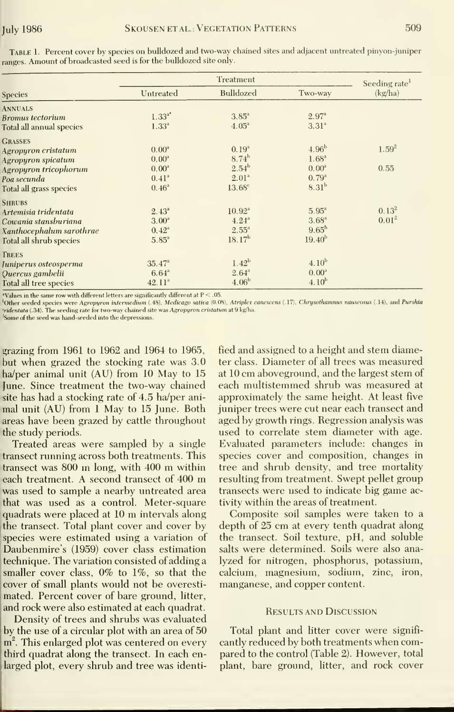|                                          |                 | Seeding rate       |                   |            |
|------------------------------------------|-----------------|--------------------|-------------------|------------|
| <b>Species</b>                           | Untreated       | Bulldozed          | Two-way           | (kg/ha)    |
| <b>ANNUALS</b>                           |                 |                    |                   |            |
| <b>Bromus</b> tectorium                  | $1.33^{a*}$     | $3.85^{\circ}$     | $2.97^{a}$        |            |
| Total all annual species                 | $1.33^{a}$      | $4.05^{\circ}$     | 3.31 <sup>a</sup> |            |
| <b>GRASSES</b>                           |                 |                    |                   |            |
| Agropyron cristatum                      | $0.00^{\rm a}$  | 0.19 <sup>a</sup>  | 4.96 <sup>b</sup> | $1.59^{2}$ |
| Agropyron spicatum                       | $0.00^{\rm a}$  | $8.74^b$           | 1.68 <sup>a</sup> |            |
| Agropyron tricophorum                    | $0.00^{\rm a}$  | $2.54^{b}$         | $0.00^{\circ}$    | 0.55       |
| Poa secunda                              | $0.41^{a}$      | 2.01 <sup>a</sup>  | $0.79^{a}$        |            |
| Total all grass species<br><b>SHRUBS</b> | $0.46^{\rm a}$  | 13.68 <sup>c</sup> | 8.31 <sup>b</sup> |            |
| Artemisia tridentata                     | $2.43^{a}$      | $10.92^{a}$        | $5.95^{\circ}$    | $0.13^{2}$ |
| Cowania stansburiana                     | $3.00^{\rm a}$  | $4.24^{a}$         | $3.68^{a}$        | $0.01^{2}$ |
| Xanthocephalum sarothrae                 | $0.42^{\rm a}$  | $2.55^{\rm a}$     | $9.65^{b}$        |            |
| Total all shrub species                  | $5.85^{\circ}$  | $18.17^{b}$        | $19.40^{b}$       |            |
| <b>TREES</b>                             |                 |                    |                   |            |
| Juniperus osteosperma                    | $35.47^{\circ}$ | 1.42 <sup>b</sup>  | $4.10^{b}$        |            |
| Quercus gambelii                         | $6.64^{a}$      | $2.64^{a}$         | $0.00^{\rm a}$    |            |
| Total all tree species                   | $42.11^a$       | 4.06 <sup>b</sup>  | $4.10^{b}$        |            |

Table 1. Percent cover by species on bulldozed and two-way chained sites and adjacent untreated pinyon-juniper ranges. Amount of broadcasted seed is for the bulldozed site only.

Values in the same row with different letters are significantly different at  $P < .05$ .

Other seeded species were Agropyron intermedium (.48), Medicago sativa (0.08), Atriplex canescens (.17), Chrysothamnus nauseosus (.14), and Purshia tridentata (.34). The seeding rate for two-way chained site was Agropyron cristatum at 9 kg/ha.

<sup>2</sup>Some of the seed was hand-seeded into the depressions.

grazing from 1961 to 1962 and 1964 to 1965, but when grazed the stocking rate was 3.0 ha/per animal unit (AU) from 10 May to 15 June. Since treatment the two-way chained site has had a stocking rate of 4.5 ha/per animal unit (AU) from 1 May to 15 June. Both areas have been grazed by cattle throughout the study periods.

Treated areas were sampled by a single transect running across both treatments. This transect was 800 m long, with 400 m within each treatment. A second transect of 400 m was used to sample a nearby untreated area that was used as a control. Meter-square quadrats were placed at 10 m intervals along the transect. Total plant cover and cover by species were estimated using a variation of Daubenmire's (1959) cover class estimation technique. The variation consisted of adding a smaller cover class,  $0\%$  to  $1\%$ , so that the cover of small plants would not be overestimated. Percent cover of bare ground, litter, and rock were also estimated at each quadrat.

Density of trees and shrubs was evaluated by the use of a circular plot with an area of 50 m<sup>2</sup>. This enlarged plot was centered on every third quadrat along the transect. In each enlarged plot, every shrub and tree was identified and assigned to a height and stem diameter class. Diameter of all trees was measured at 10 cm aboveground, and the largest stem of each multistemmed shrub was measured at approximately the same height. At least five juniper trees were cut near each transect and aged by growth rings. Regression analysis was used to correlate stem diameter with age. Evaluated parameters include: changes in species cover and composition, changes in tree and shrub density, and tree mortality resulting from treatment. Swept pellet group transects were used to indicate big game activity within the areas of treatment.

Composite soil samples were taken to a depth of 25 cm at every tenth quadrat along the transect. Soil texture, pH, and soluble salts were determined. Soils were also analyzed for nitrogen, phosphorus, potassium, calcium, magnesium, sodium, zinc, iron, manganese, and copper content.

#### **RESULTS AND DISCUSSION**

Total plant and litter cover were significantly reduced by both treatments when compared to the control (Table 2). However, total plant, bare ground, litter, and rock cover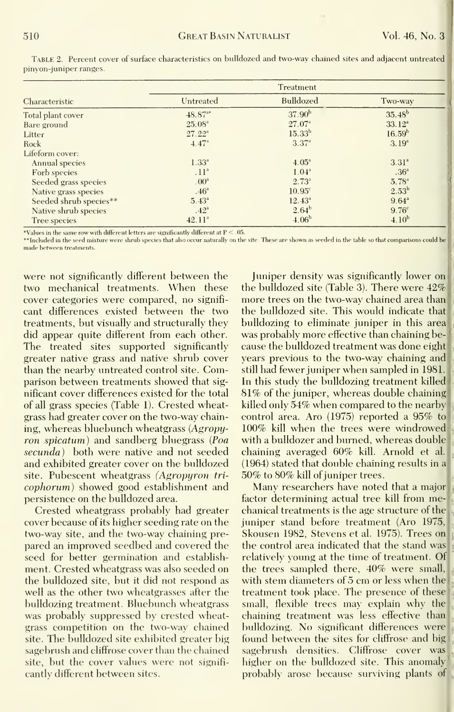|                        | Treatment          |                   |                   |  |
|------------------------|--------------------|-------------------|-------------------|--|
| Characteristic         | Untreated          | <b>Bulldozed</b>  | Two-way           |  |
| Total plant cover      | $48.87^{**}$       | $37.90^{b}$       | $35.48^{b}$       |  |
| Bare ground            | $25.08^{\circ}$    | $27.07^{\circ}$   | $33.12^a$         |  |
| Litter                 | $27.22^{\circ}$    | $15.33^{b}$       | $16.59^{b}$       |  |
| Rock                   | 4.47 <sup>a</sup>  | $3.37^{a}$        | $3.19^{a}$        |  |
| Lifeform cover:        |                    |                   |                   |  |
| Annual species         | $1.33^{4}$         | $4.05^{\circ}$    | $3.31^{a}$        |  |
| Forb species           | .11 <sup>a</sup>   | 1.04 <sup>3</sup> | .36 <sup>a</sup>  |  |
| Seeded grass species   | .00 <sup>a</sup>   | $2.73^{a}$        | $5.78^{a}$        |  |
| Native grass species   | .46 <sup>a</sup>   | $10.95^\circ$     | $2.53^{b}$        |  |
| Seeded shrub species** | $5.43^{\circ}$     | $12.43^{\circ}$   | $9.64^{\circ}$    |  |
| Native shrub species   | .42 <sup>a</sup>   | $2.64^{b}$        | 9.76 <sup>c</sup> |  |
| Tree species           | 42.11 <sup>a</sup> | 4.06 <sup>b</sup> | 4.10 <sup>b</sup> |  |

TabLE 2. Percent cover of surface characteristics on bulldozed and two-way chained sites and adjacent untreated pinyon-juniper ranges.

\*Values in the same row with different letters are significantly different at  $P < .05$ .

\*\* Included in the seed mixture were shrub species that also occur naturally on the site. These are shown as seeded in the table so that comparisons could be made between treatments.

were not significantly different between the two mechanical treatments. When these cover categories were compared, no significant differences existed between the two treatments, but visually and structurally they did appear quite different from each other. The treated sites supported significantly greater native grass and native shrub cover than the nearby untreated control site. Comparison between treatments showed that significant cover differences existed for the total of all grass species (Table 1). Crested wheatgrass had greater cover on the two-way chaining, whereas bluebunch wheatgrass (Agropyron spicatum) and sandberg bluegrass (Poa secunda) both were native and not seeded and exhibited greater cover on the bulldozed site. Pubescent wheatgrass (Agropyron tricophorum) showed good establishment and persistence on the bulldozed area.

Crested wheatgrass probably had greater cover because of its higher seeding rate on the two-way site, and the two-way chaining prepared an improved seedbed and covered the seed for better germination and establishment. Crested wheatgrass was also seeded on the bulldozed site, but it did not respond as well as the other two wheatgrasses after the bulldozing treatment. Bluebunch wheatgrass was probably suppressed by crested wheatgrass competition on the two-way chained site. The bulldozed site exhibited greater big sagebrush and cliffrose cover than the chained site, but the cover values were not significantly different between sites.

Juniper density was significantly lower on the bulldozed site (Table 3). There were 42% more trees on the two-way chained area than the bulldozed site. This would indicate that bulldozing to eliminate juniper in this area was probably more effective than chaining because the bulldozed treatment was done eight years previous to the two-way chaining and still had fewer juniper when sampled in 1981. In this study the bulldozing treatment killed 81% of the juniper, whereas double chaining killed only 54% when compared to the nearby control area. Aro (1975) reported a 95% to 100% kill when the trees were windrowed with a bulldozer and burned, whereas double chaining averaged 60% kill. Arnold et al. (1964) stated that double chaining results in a 50% to 80% kill of juniper trees.

Many researchers have noted that a major factor determining actual tree kill from mechanical treatments is the age structure of the juniper stand before treatment (Aro 1975, Skousen 1982, Stevens et al. 1975). Trees on the control area indicated that the stand was relatively young at the time of treatment. Of the trees sampled there, 40% were small, with stem diameters of 5 cm or less when the treatment took place. The presence of these small, flexible trees may explain why the chaining treatment was less effective than bulldozing. No significant differences were found between the sites for cliffrose and big sagebrush densities. Cliffrose cover was higher on the bulldozed site. This anomaly probably arose because surviving plants of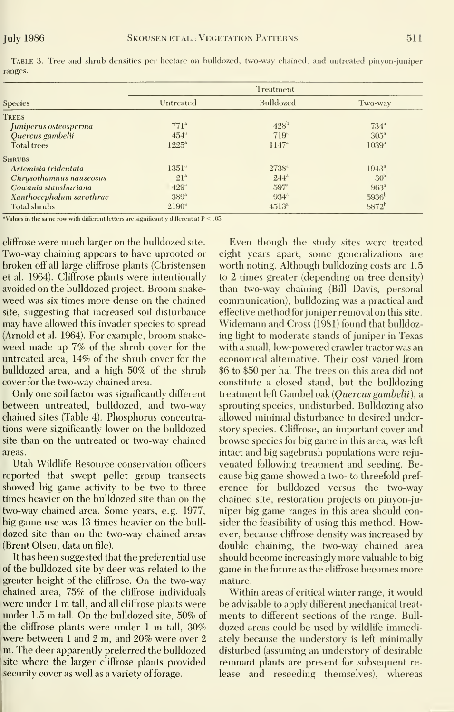|                          |                    | Treatment            |                   |
|--------------------------|--------------------|----------------------|-------------------|
| <b>Species</b>           | Untreated          | Bulldozed            | Two-way           |
| TREES                    |                    |                      |                   |
| Juniperus osteosperma    | 771 <sup>a</sup>   | $428^{\rm b}$        | $734^{\circ}$     |
| Quercus gambelii         | $454^\circ$        | 719 <sup>a</sup>     | 305 <sup>a</sup>  |
| <b>Total trees</b>       | $1225^{\circ}$     | $11.47$ <sup>a</sup> | 1039 <sup>a</sup> |
| <b>SHRUBS</b>            |                    |                      |                   |
| Artemisia tridentata     | 1351 <sup>4</sup>  | $2738^4$             | $1943^{\circ}$    |
| Chrysothamnus nauseosus  | 21 <sup>a</sup>    | $2.44$ <sup>a</sup>  | 30 <sup>a</sup>   |
| Cowania stansburiana     | $429$ <sup>a</sup> | $597$ <sup>a</sup>   | 963 <sup>a</sup>  |
| Xanthocephalum sarothrae | $389^{\circ}$      | $934^{\circ}$        | 5936 <sup>b</sup> |
| Total shrubs             | $2190^{\circ}$     | $4513^{\circ}$       | 8872 <sup>b</sup> |

Table 3.Tree and shrub densities per hectare on bulldozed, two-way chained, and untreated pinyon-juniper ranges.

\*Values in the same row with different letters are significantly different at  $P \leq .05$ .

cliffrose were much larger on the bulldozed site. Two-way chaining appears to have uprooted or broken off all large cliffrose plants (Christensen et al. 1964). Cliffrose plants were intentionally avoided on the bulldozed project. Broom snakeweed was six times more dense on the chained site, suggesting that increased soil disturbance may have allowed this invader species to spread (Arnold et al. 1964). For example, broom snakeweed made up 7% of the shrub cover for the untreated area, 14% of the shrub cover for the bulldozed area, and a high 50% of the shrub cover for the two-way chained area.

Only one soil factor was significantly different between untreated, bulldozed, and two-way chained sites (Table 4). Phosphorus concentrations were significantly lower on the bulldozed site than on the untreated or two-way chained areas.

Utah Wildlife Resource conservation officers reported that swept pellet group transects showed big game activity to be two to three times heavier on the bulldozed site than on the two-way chained area. Some years, e.g. 1977, big game use was 13 times heavier on the bulldozed site than on the two-way chained areas (Brent Olsen, data on file).

It has been suggested that the preferential use of the bulldozed site by deer was related to the greater height of the cliffrose. On the two-way chained area, 75% of the cliffrose individuals were under 1 m tall, and all cliffrose plants were under 1.5 m tall. On the bulldozed site, 50% of the cliffrose plants were under 1 m tall,  $30\%$ were between 1 and 2 m, and 20% were over 2 m. The deer apparently preferred the bulldozed site where the larger cliffrose plants provided security cover as well as a variety of forage.

Even though the study sites were treated eight years apart, some generalizations are worth noting. Although bulldozing costs are 1.5 to 2 times greater (depending on tree density) than two-way chaining (Bill Davis, personal communication), bulldozing was a practical and effective method for juniper removal on this site. Widemann and Cross (1981) found that bulldozing light to moderate stands of juniper in Texas with a small, low-powered crawler tractor was an economical alternative. Their cost varied from \$6 to \$50 per ha. The trees on this area did not constitute a closed stand, but the bulldozing treatment left Gambel oak (Quercus gambelii), a sprouting species, undisturbed. Bulldozing also allowed minimal disturbance to desired understory species. Cliffrose, an important cover and browse species for big game in this area, was left intact and big sagebrush populations were rejuvenated following treatment and seeding. Because big game showed a two- to threefold preference for bulldozed versus the two-way chained site, restoration projects on pinyon-juniper big game ranges in this area should consider the feasibility of using this method. However, because cliffrose density was increased by double chaining, the two-way chained area should become increasingly more valuable to big game in the future as the cliffrose becomes more mature.

Within areas of critical winter range, it would be advisable to apply different mechanical treatments to different sections of the range. Bulldozed areas could be used by wildlife immediately because the understory is left minimally disturbed (assuming an understory of desirable remnant plants are present for subsequent release and reseeding themselves), whereas